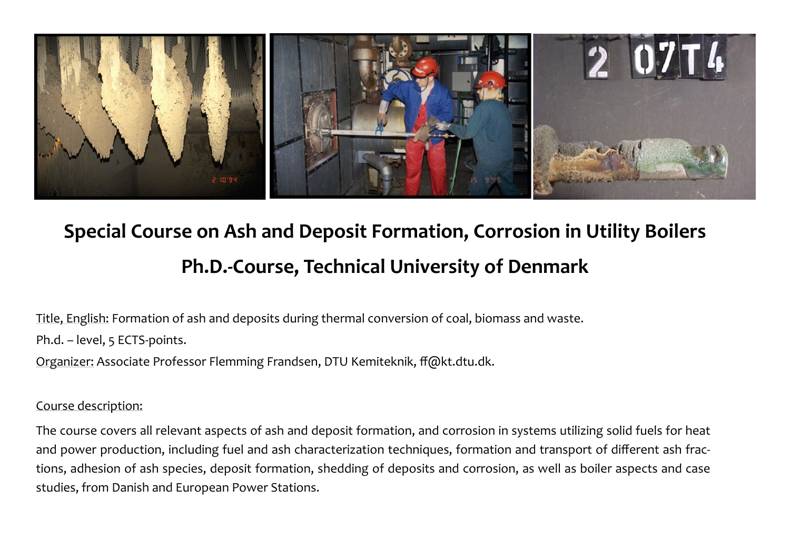

# **Special Course on Ash and Deposit Formation, Corrosion in Utility Boilers Ph.D.-Course, Technical University of Denmark**

Title, English: Formation of ash and deposits during thermal conversion of coal, biomass and waste.

Ph.d. – level, 5 ECTS-points.

Organizer: Associate Professor Flemming Frandsen, DTU Kemiteknik, ff@kt.dtu.dk.

#### Course description:

The course covers all relevant aspects of ash and deposit formation, and corrosion in systems utilizing solid fuels for heat and power production, including fuel and ash characterization techniques, formation and transport of different ash fractions, adhesion of ash species, deposit formation, shedding of deposits and corrosion, as well as boiler aspects and case studies, from Danish and European Power Stations.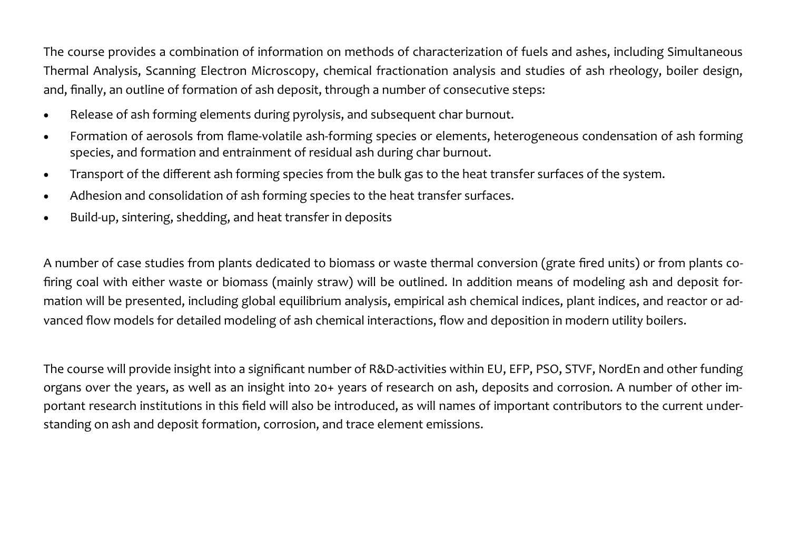The course provides a combination of information on methods of characterization of fuels and ashes, including Simultaneous Thermal Analysis, Scanning Electron Microscopy, chemical fractionation analysis and studies of ash rheology, boiler design, and, finally, an outline of formation of ash deposit, through a number of consecutive steps:

- Release of ash forming elements during pyrolysis, and subsequent char burnout.
- Formation of aerosols from flame-volatile ash-forming species or elements, heterogeneous condensation of ash forming species, and formation and entrainment of residual ash during char burnout.
- Transport of the different ash forming species from the bulk gas to the heat transfer surfaces of the system.
- Adhesion and consolidation of ash forming species to the heat transfer surfaces.
- Build-up, sintering, shedding, and heat transfer in deposits

A number of case studies from plants dedicated to biomass or waste thermal conversion (grate fired units) or from plants cofiring coal with either waste or biomass (mainly straw) will be outlined. In addition means of modeling ash and deposit formation will be presented, including global equilibrium analysis, empirical ash chemical indices, plant indices, and reactor or advanced flow models for detailed modeling of ash chemical interactions, flow and deposition in modern utility boilers.

The course will provide insight into a significant number of R&D-activities within EU, EFP, PSO, STVF, NordEn and other funding organs over the years, as well as an insight into 20+ years of research on ash, deposits and corrosion. A number of other important research institutions in this field will also be introduced, as will names of important contributors to the current understanding on ash and deposit formation, corrosion, and trace element emissions.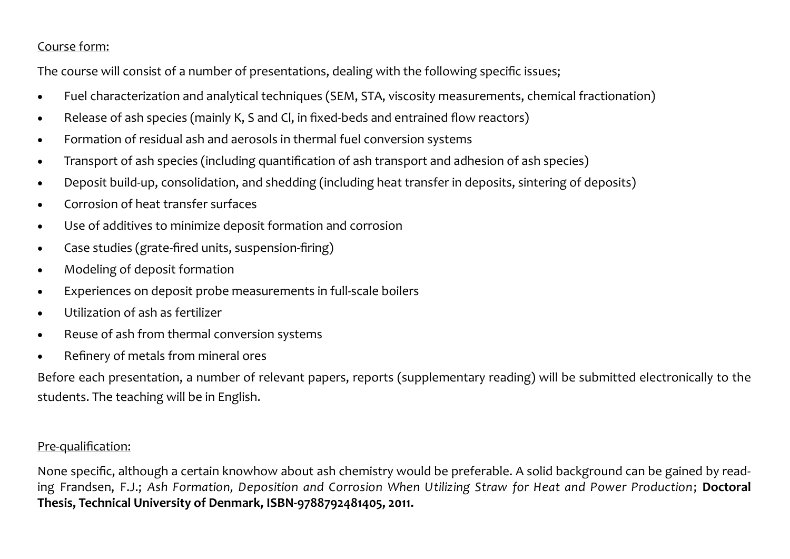#### Course form:

The course will consist of a number of presentations, dealing with the following specific issues;

- Fuel characterization and analytical techniques (SEM, STA, viscosity measurements, chemical fractionation)
- Release of ash species (mainly K, S and Cl, in fixed-beds and entrained flow reactors)
- Formation of residual ash and aerosols in thermal fuel conversion systems
- Transport of ash species (including quantification of ash transport and adhesion of ash species)
- Deposit build-up, consolidation, and shedding (including heat transfer in deposits, sintering of deposits)
- Corrosion of heat transfer surfaces
- Use of additives to minimize deposit formation and corrosion
- Case studies (grate-fired units, suspension-firing)
- Modeling of deposit formation
- Experiences on deposit probe measurements in full-scale boilers
- Utilization of ash as fertilizer
- Reuse of ash from thermal conversion systems
- Refinery of metals from mineral ores

Before each presentation, a number of relevant papers, reports (supplementary reading) will be submitted electronically to the students. The teaching will be in English.

#### Pre-qualification:

None specific, although a certain knowhow about ash chemistry would be preferable. A solid background can be gained by reading Frandsen, F.J.; *Ash Formation, Deposition and Corrosion When Utilizing Straw for Heat and Power Production*; **Doctoral Thesis, Technical University of Denmark, ISBN-9788792481405, 2011.**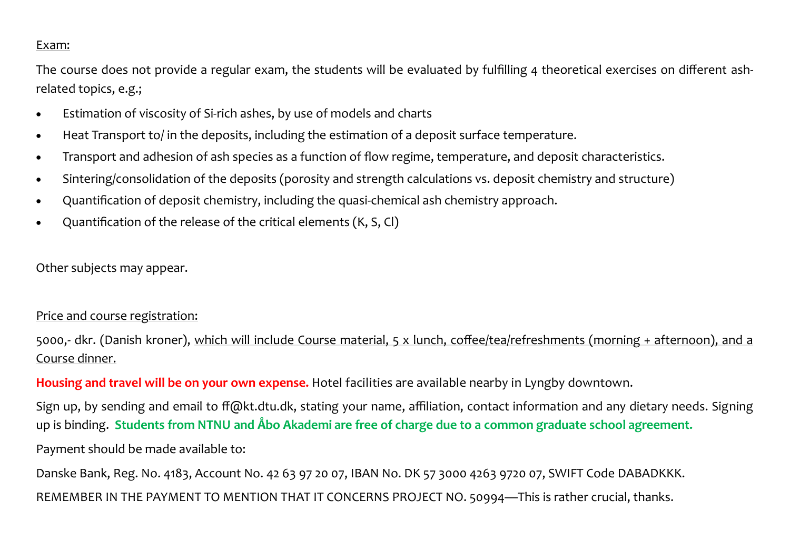#### Exam:

The course does not provide a regular exam, the students will be evaluated by fulfilling 4 theoretical exercises on different ashrelated topics, e.g.;

- Estimation of viscosity of Si-rich ashes, by use of models and charts
- Heat Transport to/ in the deposits, including the estimation of a deposit surface temperature.
- Transport and adhesion of ash species as a function of flow regime, temperature, and deposit characteristics.
- Sintering/consolidation of the deposits (porosity and strength calculations vs. deposit chemistry and structure)
- Quantification of deposit chemistry, including the quasi-chemical ash chemistry approach.
- Quantification of the release of the critical elements (K, S, Cl)

Other subjects may appear.

#### Price and course registration:

5000,- dkr. (Danish kroner), which will include Course material, 5 x lunch, coffee/tea/refreshments (morning + afternoon), and a Course dinner.

**Housing and travel will be on your own expense.** Hotel facilities are available nearby in Lyngby downtown.

Sign up, by sending and email to ff@kt.dtu.dk, stating your name, affiliation, contact information and any dietary needs. Signing up is binding. **Students from NTNU and Åbo Akademi are free of charge due to a common graduate school agreement.**

Payment should be made available to:

Danske Bank, Reg. No. 4183, Account No. 42 63 97 20 07, IBAN No. DK 57 3000 4263 9720 07, SWIFT Code DABADKKK.

REMEMBER IN THE PAYMENT TO MENTION THAT IT CONCERNS PROJECT NO. 50994—This is rather crucial, thanks.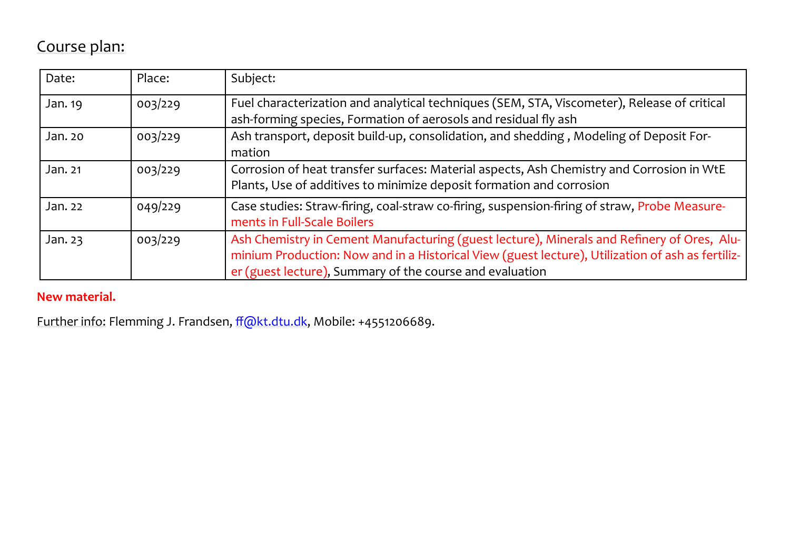## Course plan:

| Date:   | Place:  | Subject:                                                                                                                                                                                                                                                   |  |  |  |
|---------|---------|------------------------------------------------------------------------------------------------------------------------------------------------------------------------------------------------------------------------------------------------------------|--|--|--|
| Jan. 19 | 003/229 | Fuel characterization and analytical techniques (SEM, STA, Viscometer), Release of critical<br>ash-forming species, Formation of aerosols and residual fly ash                                                                                             |  |  |  |
| Jan. 20 | 003/229 | Ash transport, deposit build-up, consolidation, and shedding, Modeling of Deposit For-<br>mation                                                                                                                                                           |  |  |  |
| Jan. 21 | 003/229 | Corrosion of heat transfer surfaces: Material aspects, Ash Chemistry and Corrosion in WtE<br>Plants, Use of additives to minimize deposit formation and corrosion                                                                                          |  |  |  |
| Jan. 22 | 049/229 | Case studies: Straw-firing, coal-straw co-firing, suspension-firing of straw, Probe Measure-<br>ments in Full-Scale Boilers                                                                                                                                |  |  |  |
| Jan. 23 | 003/229 | Ash Chemistry in Cement Manufacturing (guest lecture), Minerals and Refinery of Ores, Alu-<br>minium Production: Now and in a Historical View (guest lecture), Utilization of ash as fertiliz-<br>er (guest lecture), Summary of the course and evaluation |  |  |  |

### **New material.**

Further info: Flemming J. Frandsen, [ff@kt.dtu.dk,](mailto:ff@kt.dtu.dk) Mobile: +4551206689.